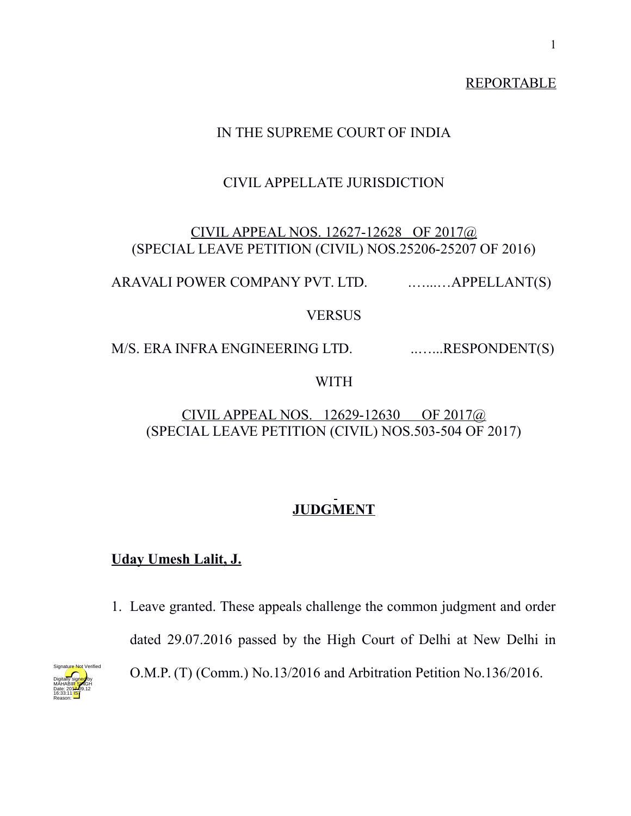## REPORTABLE

## IN THE SUPREME COURT OF INDIA

## CIVIL APPELLATE JURISDICTION

## CIVIL APPEAL NOS. 12627-12628 OF 2017@ (SPECIAL LEAVE PETITION (CIVIL) NOS.25206-25207 OF 2016)

ARAVALI POWER COMPANY PVT. LTD. ...........APPELLANT(S)

### **VERSUS**

M/S. ERA INFRA ENGINEERING LTD. ........RESPONDENT(S)

### WITH

## CIVIL APPEAL NOS. 12629-12630 OF 2017@ (SPECIAL LEAVE PETITION (CIVIL) NOS.503-504 OF 2017)

# **JUDGMENT**

## **Uday Umesh Lalit, J.**

1. Leave granted. These appeals challenge the common judgment and order dated 29.07.2016 passed by the High Court of Delhi at New Delhi in O.M.P. (T) (Comm.) No.13/2016 and Arbitration Petition No.136/2016.

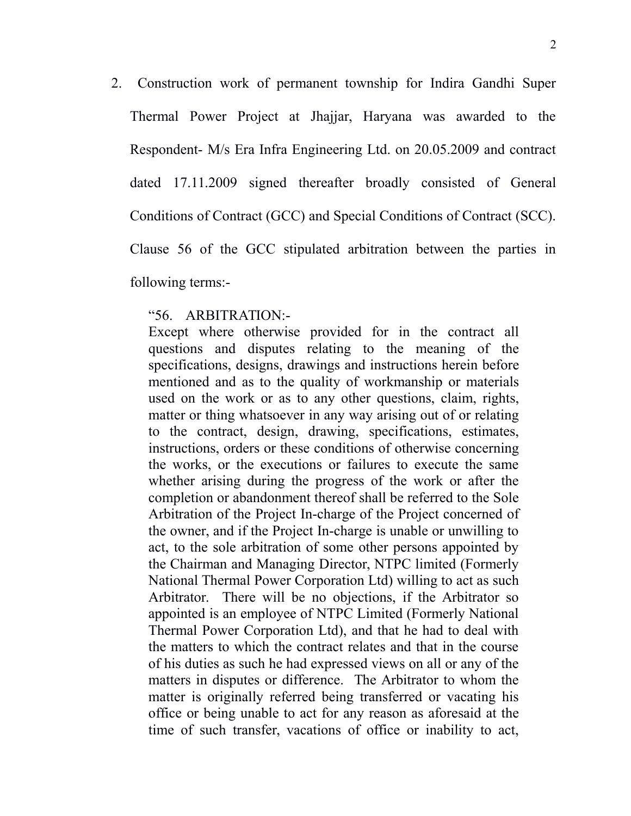2. Construction work of permanent township for Indira Gandhi Super Thermal Power Project at Jhajjar, Haryana was awarded to the Respondent- M/s Era Infra Engineering Ltd. on 20.05.2009 and contract dated 17.11.2009 signed thereafter broadly consisted of General Conditions of Contract (GCC) and Special Conditions of Contract (SCC). Clause 56 of the GCC stipulated arbitration between the parties in following terms:-

#### "56. ARBITRATION:-

Except where otherwise provided for in the contract all questions and disputes relating to the meaning of the specifications, designs, drawings and instructions herein before mentioned and as to the quality of workmanship or materials used on the work or as to any other questions, claim, rights, matter or thing whatsoever in any way arising out of or relating to the contract, design, drawing, specifications, estimates, instructions, orders or these conditions of otherwise concerning the works, or the executions or failures to execute the same whether arising during the progress of the work or after the completion or abandonment thereof shall be referred to the Sole Arbitration of the Project In-charge of the Project concerned of the owner, and if the Project In-charge is unable or unwilling to act, to the sole arbitration of some other persons appointed by the Chairman and Managing Director, NTPC limited (Formerly National Thermal Power Corporation Ltd) willing to act as such Arbitrator. There will be no objections, if the Arbitrator so appointed is an employee of NTPC Limited (Formerly National Thermal Power Corporation Ltd), and that he had to deal with the matters to which the contract relates and that in the course of his duties as such he had expressed views on all or any of the matters in disputes or difference. The Arbitrator to whom the matter is originally referred being transferred or vacating his office or being unable to act for any reason as aforesaid at the time of such transfer, vacations of office or inability to act,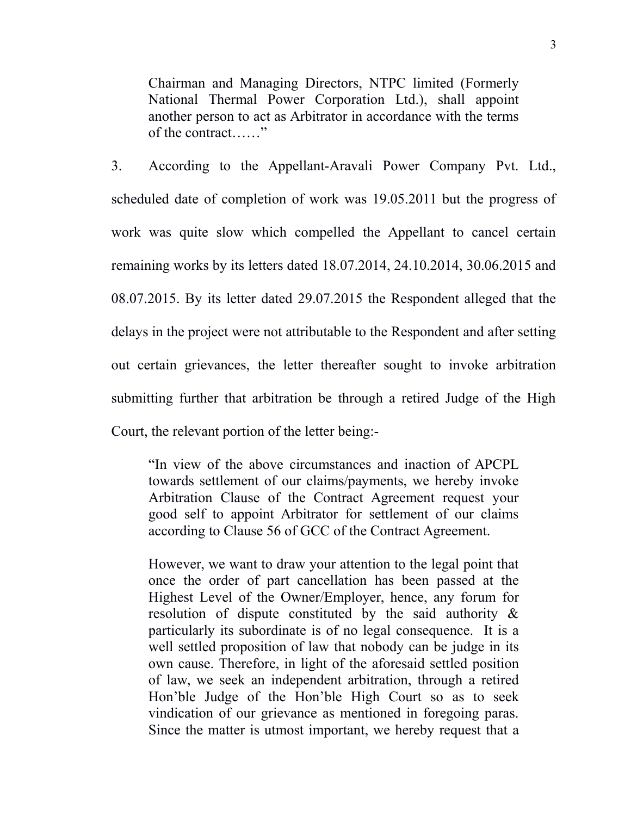Chairman and Managing Directors, NTPC limited (Formerly National Thermal Power Corporation Ltd.), shall appoint another person to act as Arbitrator in accordance with the terms of the contract……"

3. According to the Appellant-Aravali Power Company Pvt. Ltd., scheduled date of completion of work was 19.05.2011 but the progress of work was quite slow which compelled the Appellant to cancel certain remaining works by its letters dated 18.07.2014, 24.10.2014, 30.06.2015 and 08.07.2015. By its letter dated 29.07.2015 the Respondent alleged that the delays in the project were not attributable to the Respondent and after setting out certain grievances, the letter thereafter sought to invoke arbitration submitting further that arbitration be through a retired Judge of the High Court, the relevant portion of the letter being:-

"In view of the above circumstances and inaction of APCPL towards settlement of our claims/payments, we hereby invoke Arbitration Clause of the Contract Agreement request your good self to appoint Arbitrator for settlement of our claims according to Clause 56 of GCC of the Contract Agreement.

However, we want to draw your attention to the legal point that once the order of part cancellation has been passed at the Highest Level of the Owner/Employer, hence, any forum for resolution of dispute constituted by the said authority & particularly its subordinate is of no legal consequence. It is a well settled proposition of law that nobody can be judge in its own cause. Therefore, in light of the aforesaid settled position of law, we seek an independent arbitration, through a retired Hon'ble Judge of the Hon'ble High Court so as to seek vindication of our grievance as mentioned in foregoing paras. Since the matter is utmost important, we hereby request that a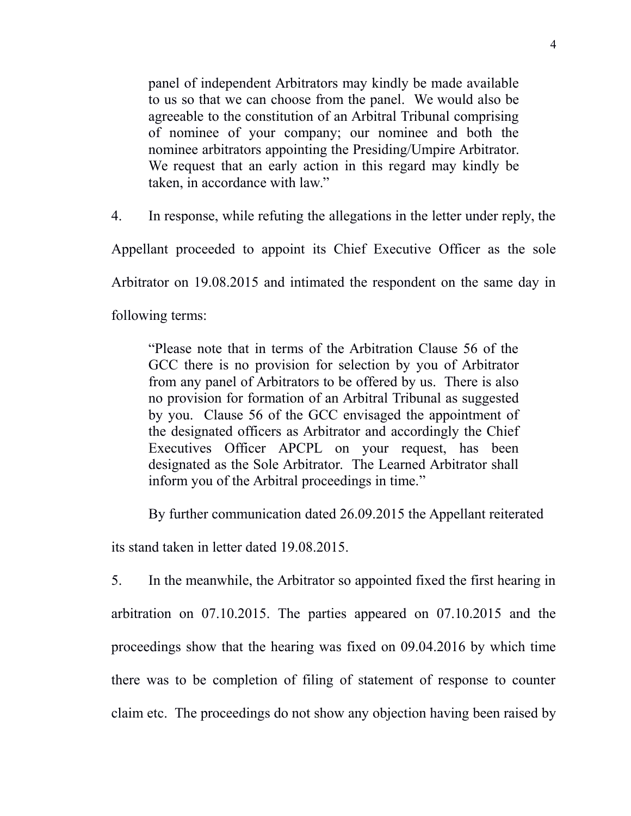panel of independent Arbitrators may kindly be made available to us so that we can choose from the panel. We would also be agreeable to the constitution of an Arbitral Tribunal comprising of nominee of your company; our nominee and both the nominee arbitrators appointing the Presiding/Umpire Arbitrator. We request that an early action in this regard may kindly be taken, in accordance with law."

4. In response, while refuting the allegations in the letter under reply, the

Appellant proceeded to appoint its Chief Executive Officer as the sole

Arbitrator on 19.08.2015 and intimated the respondent on the same day in

following terms:

"Please note that in terms of the Arbitration Clause 56 of the GCC there is no provision for selection by you of Arbitrator from any panel of Arbitrators to be offered by us. There is also no provision for formation of an Arbitral Tribunal as suggested by you. Clause 56 of the GCC envisaged the appointment of the designated officers as Arbitrator and accordingly the Chief Executives Officer APCPL on your request, has been designated as the Sole Arbitrator. The Learned Arbitrator shall inform you of the Arbitral proceedings in time."

By further communication dated 26.09.2015 the Appellant reiterated

its stand taken in letter dated 19.08.2015.

5. In the meanwhile, the Arbitrator so appointed fixed the first hearing in arbitration on 07.10.2015. The parties appeared on 07.10.2015 and the proceedings show that the hearing was fixed on 09.04.2016 by which time there was to be completion of filing of statement of response to counter claim etc. The proceedings do not show any objection having been raised by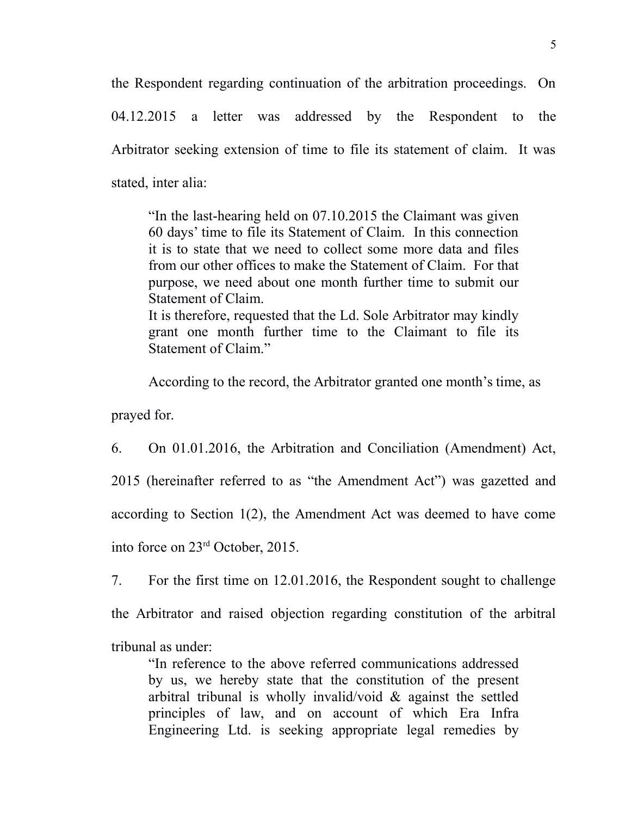the Respondent regarding continuation of the arbitration proceedings. On

04.12.2015 a letter was addressed by the Respondent to the Arbitrator seeking extension of time to file its statement of claim. It was stated, inter alia:

"In the last-hearing held on 07.10.2015 the Claimant was given 60 days' time to file its Statement of Claim. In this connection it is to state that we need to collect some more data and files from our other offices to make the Statement of Claim. For that purpose, we need about one month further time to submit our Statement of Claim. It is therefore, requested that the Ld. Sole Arbitrator may kindly grant one month further time to the Claimant to file its Statement of Claim."

According to the record, the Arbitrator granted one month's time, as

prayed for.

6. On 01.01.2016, the Arbitration and Conciliation (Amendment) Act, 2015 (hereinafter referred to as "the Amendment Act") was gazetted and according to Section 1(2), the Amendment Act was deemed to have come into force on 23rd October, 2015.

7. For the first time on 12.01.2016, the Respondent sought to challenge

the Arbitrator and raised objection regarding constitution of the arbitral

tribunal as under:

"In reference to the above referred communications addressed by us, we hereby state that the constitution of the present arbitral tribunal is wholly invalid/void  $\&$  against the settled principles of law, and on account of which Era Infra Engineering Ltd. is seeking appropriate legal remedies by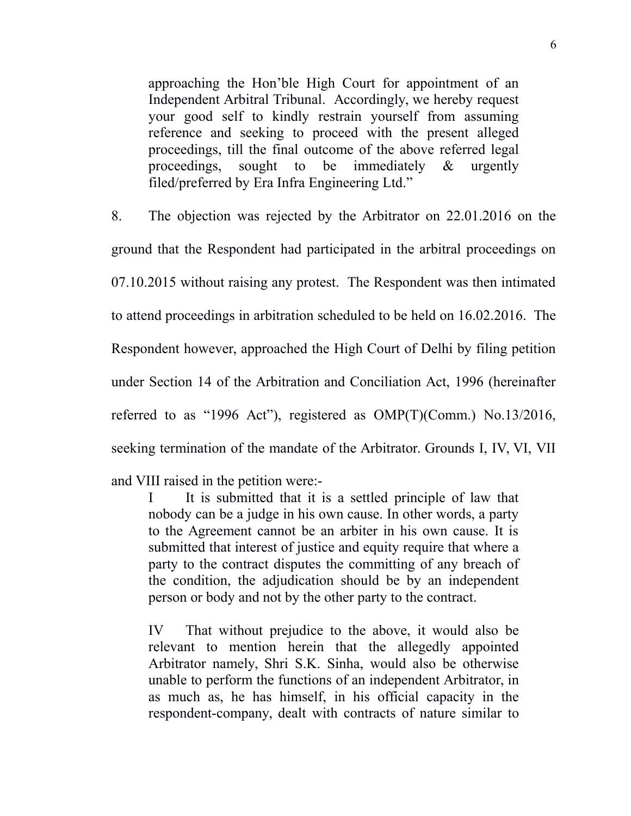approaching the Hon'ble High Court for appointment of an Independent Arbitral Tribunal. Accordingly, we hereby request your good self to kindly restrain yourself from assuming reference and seeking to proceed with the present alleged proceedings, till the final outcome of the above referred legal proceedings, sought to be immediately & urgently filed/preferred by Era Infra Engineering Ltd."

8. The objection was rejected by the Arbitrator on 22.01.2016 on the ground that the Respondent had participated in the arbitral proceedings on 07.10.2015 without raising any protest. The Respondent was then intimated to attend proceedings in arbitration scheduled to be held on 16.02.2016. The Respondent however, approached the High Court of Delhi by filing petition under Section 14 of the Arbitration and Conciliation Act, 1996 (hereinafter referred to as "1996 Act"), registered as OMP(T)(Comm.) No.13/2016, seeking termination of the mandate of the Arbitrator. Grounds I, IV, VI, VII

and VIII raised in the petition were:-

I It is submitted that it is a settled principle of law that nobody can be a judge in his own cause. In other words, a party to the Agreement cannot be an arbiter in his own cause. It is submitted that interest of justice and equity require that where a party to the contract disputes the committing of any breach of the condition, the adjudication should be by an independent person or body and not by the other party to the contract.

IV That without prejudice to the above, it would also be relevant to mention herein that the allegedly appointed Arbitrator namely, Shri S.K. Sinha, would also be otherwise unable to perform the functions of an independent Arbitrator, in as much as, he has himself, in his official capacity in the respondent-company, dealt with contracts of nature similar to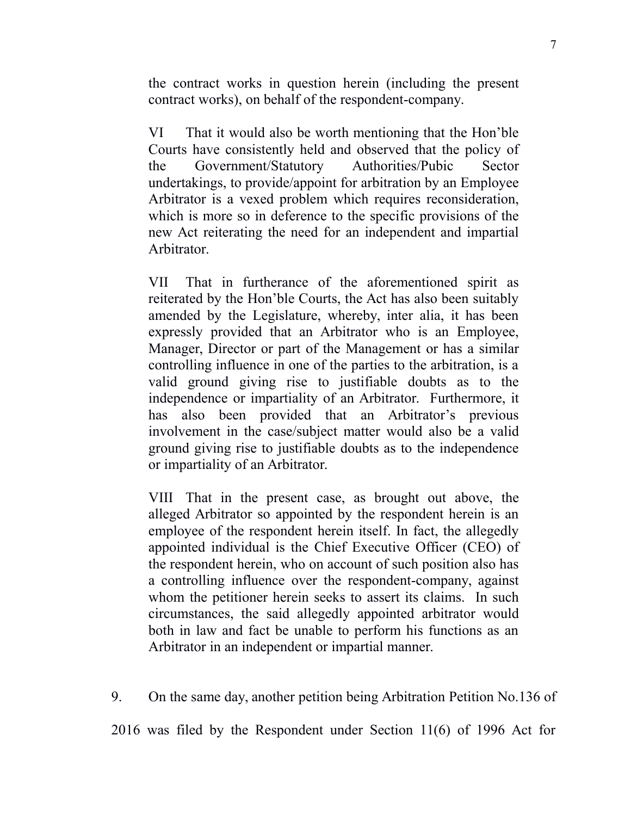the contract works in question herein (including the present contract works), on behalf of the respondent-company.

VI That it would also be worth mentioning that the Hon'ble Courts have consistently held and observed that the policy of the Government/Statutory Authorities/Pubic Sector undertakings, to provide/appoint for arbitration by an Employee Arbitrator is a vexed problem which requires reconsideration, which is more so in deference to the specific provisions of the new Act reiterating the need for an independent and impartial Arbitrator.

VII That in furtherance of the aforementioned spirit as reiterated by the Hon'ble Courts, the Act has also been suitably amended by the Legislature, whereby, inter alia, it has been expressly provided that an Arbitrator who is an Employee, Manager, Director or part of the Management or has a similar controlling influence in one of the parties to the arbitration, is a valid ground giving rise to justifiable doubts as to the independence or impartiality of an Arbitrator. Furthermore, it has also been provided that an Arbitrator's previous involvement in the case/subject matter would also be a valid ground giving rise to justifiable doubts as to the independence or impartiality of an Arbitrator.

VIII That in the present case, as brought out above, the alleged Arbitrator so appointed by the respondent herein is an employee of the respondent herein itself. In fact, the allegedly appointed individual is the Chief Executive Officer (CEO) of the respondent herein, who on account of such position also has a controlling influence over the respondent-company, against whom the petitioner herein seeks to assert its claims. In such circumstances, the said allegedly appointed arbitrator would both in law and fact be unable to perform his functions as an Arbitrator in an independent or impartial manner.

9. On the same day, another petition being Arbitration Petition No.136 of

2016 was filed by the Respondent under Section 11(6) of 1996 Act for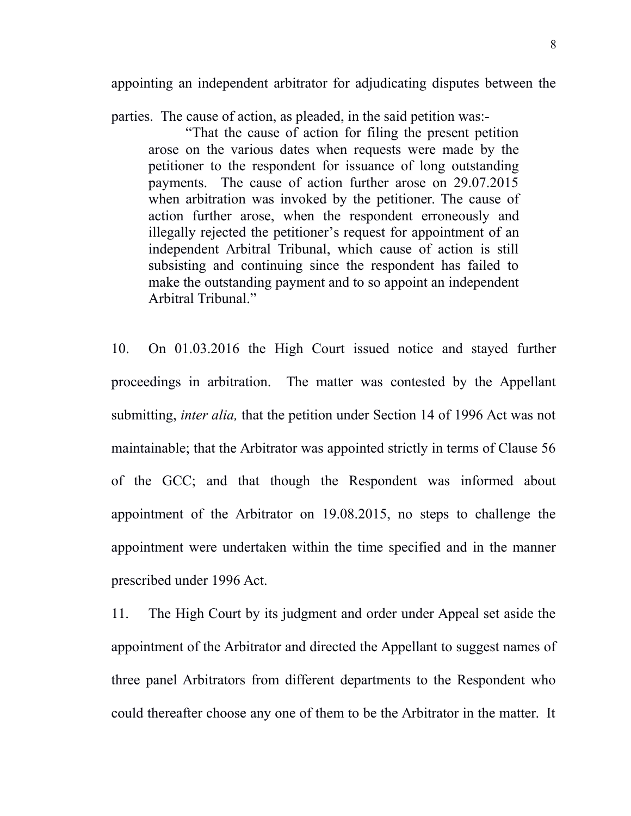appointing an independent arbitrator for adjudicating disputes between the

parties. The cause of action, as pleaded, in the said petition was:-

"That the cause of action for filing the present petition arose on the various dates when requests were made by the petitioner to the respondent for issuance of long outstanding payments. The cause of action further arose on 29.07.2015 when arbitration was invoked by the petitioner. The cause of action further arose, when the respondent erroneously and illegally rejected the petitioner's request for appointment of an independent Arbitral Tribunal, which cause of action is still subsisting and continuing since the respondent has failed to make the outstanding payment and to so appoint an independent Arbitral Tribunal."

10. On 01.03.2016 the High Court issued notice and stayed further proceedings in arbitration. The matter was contested by the Appellant submitting, *inter alia,* that the petition under Section 14 of 1996 Act was not maintainable; that the Arbitrator was appointed strictly in terms of Clause 56 of the GCC; and that though the Respondent was informed about appointment of the Arbitrator on 19.08.2015, no steps to challenge the appointment were undertaken within the time specified and in the manner prescribed under 1996 Act.

11. The High Court by its judgment and order under Appeal set aside the appointment of the Arbitrator and directed the Appellant to suggest names of three panel Arbitrators from different departments to the Respondent who could thereafter choose any one of them to be the Arbitrator in the matter. It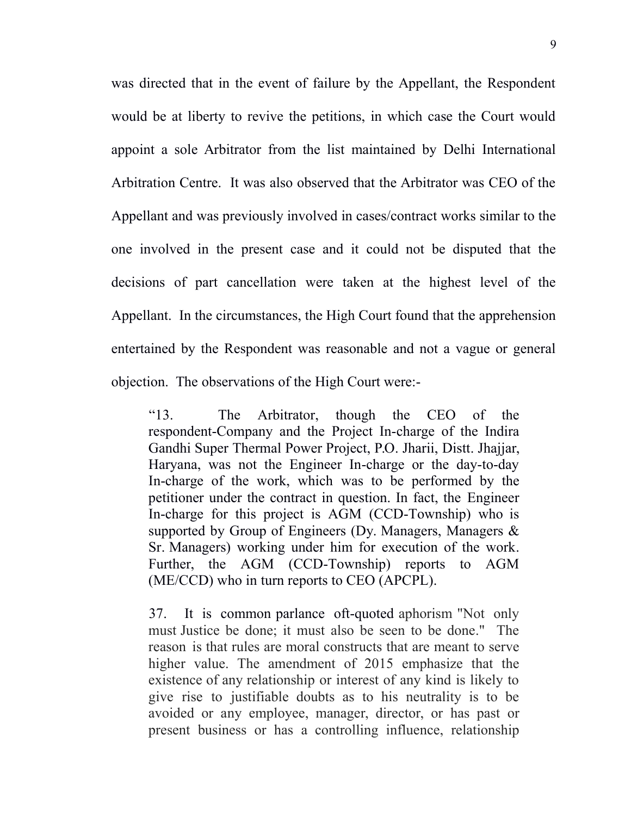was directed that in the event of failure by the Appellant, the Respondent would be at liberty to revive the petitions, in which case the Court would appoint a sole Arbitrator from the list maintained by Delhi International Arbitration Centre. It was also observed that the Arbitrator was CEO of the Appellant and was previously involved in cases/contract works similar to the one involved in the present case and it could not be disputed that the decisions of part cancellation were taken at the highest level of the Appellant. In the circumstances, the High Court found that the apprehension entertained by the Respondent was reasonable and not a vague or general objection. The observations of the High Court were:-

"13. The Arbitrator, though the CEO of the respondent-Company and the Project In-charge of the Indira Gandhi Super Thermal Power Project, P.O. Jharii, Distt. Jhajjar, Haryana, was not the Engineer In-charge or the day-to-day In-charge of the work, which was to be performed by the petitioner under the contract in question. In fact, the Engineer In-charge for this project is AGM (CCD-Township) who is supported by Group of Engineers (Dy. Managers, Managers & Sr. Managers) working under him for execution of the work. Further, the AGM (CCD-Township) reports to AGM (ME/CCD) who in turn reports to CEO (APCPL).

37. It is common parlance oft-quoted aphorism "Not only must Justice be done; it must also be seen to be done." The reason is that rules are moral constructs that are meant to serve higher value. The amendment of 2015 emphasize that the existence of any relationship or interest of any kind is likely to give rise to justifiable doubts as to his neutrality is to be avoided or any employee, manager, director, or has past or present business or has a controlling influence, relationship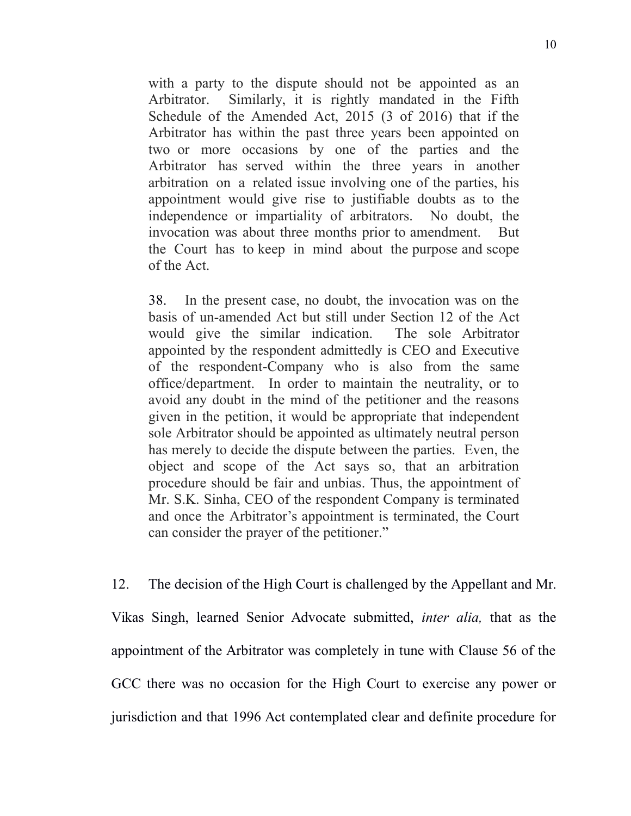with a party to the dispute should not be appointed as an Arbitrator. Similarly, it is rightly mandated in the Fifth Schedule of the Amended Act, 2015 (3 of 2016) that if the Arbitrator has within the past three years been appointed on two or more occasions by one of the parties and the Arbitrator has served within the three years in another arbitration on a related issue involving one of the parties, his appointment would give rise to justifiable doubts as to the independence or impartiality of arbitrators. No doubt, the invocation was about three months prior to amendment. But the Court has to keep in mind about the purpose and scope of the Act.

38. In the present case, no doubt, the invocation was on the basis of un-amended Act but still under Section 12 of the Act would give the similar indication. The sole Arbitrator appointed by the respondent admittedly is CEO and Executive of the respondent-Company who is also from the same office/department. In order to maintain the neutrality, or to avoid any doubt in the mind of the petitioner and the reasons given in the petition, it would be appropriate that independent sole Arbitrator should be appointed as ultimately neutral person has merely to decide the dispute between the parties. Even, the object and scope of the Act says so, that an arbitration procedure should be fair and unbias. Thus, the appointment of Mr. S.K. Sinha, CEO of the respondent Company is terminated and once the Arbitrator's appointment is terminated, the Court can consider the prayer of the petitioner."

12. The decision of the High Court is challenged by the Appellant and Mr. Vikas Singh, learned Senior Advocate submitted, *inter alia,* that as the appointment of the Arbitrator was completely in tune with Clause 56 of the GCC there was no occasion for the High Court to exercise any power or jurisdiction and that 1996 Act contemplated clear and definite procedure for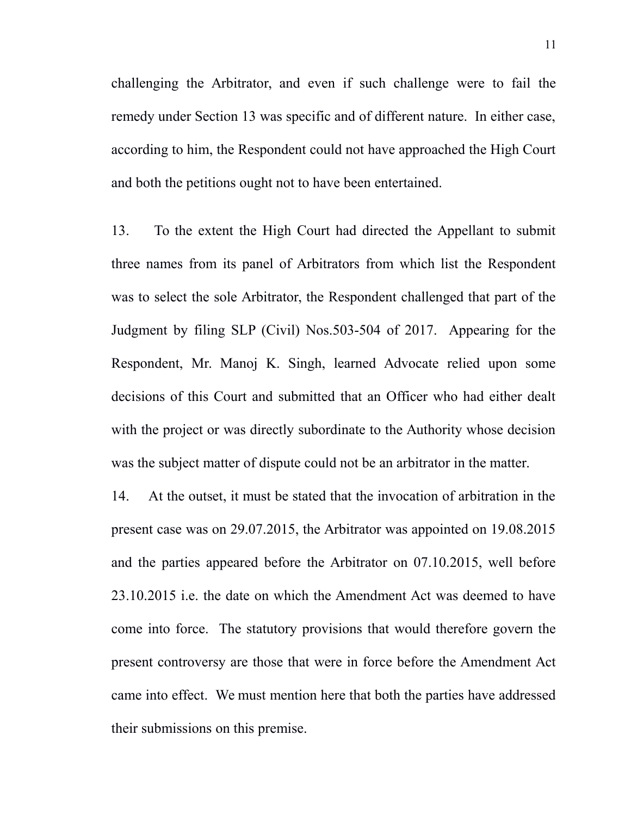challenging the Arbitrator, and even if such challenge were to fail the remedy under Section 13 was specific and of different nature. In either case, according to him, the Respondent could not have approached the High Court and both the petitions ought not to have been entertained.

13. To the extent the High Court had directed the Appellant to submit three names from its panel of Arbitrators from which list the Respondent was to select the sole Arbitrator, the Respondent challenged that part of the Judgment by filing SLP (Civil) Nos.503-504 of 2017. Appearing for the Respondent, Mr. Manoj K. Singh, learned Advocate relied upon some decisions of this Court and submitted that an Officer who had either dealt with the project or was directly subordinate to the Authority whose decision was the subject matter of dispute could not be an arbitrator in the matter.

14. At the outset, it must be stated that the invocation of arbitration in the present case was on 29.07.2015, the Arbitrator was appointed on 19.08.2015 and the parties appeared before the Arbitrator on 07.10.2015, well before 23.10.2015 i.e. the date on which the Amendment Act was deemed to have come into force. The statutory provisions that would therefore govern the present controversy are those that were in force before the Amendment Act came into effect. We must mention here that both the parties have addressed their submissions on this premise.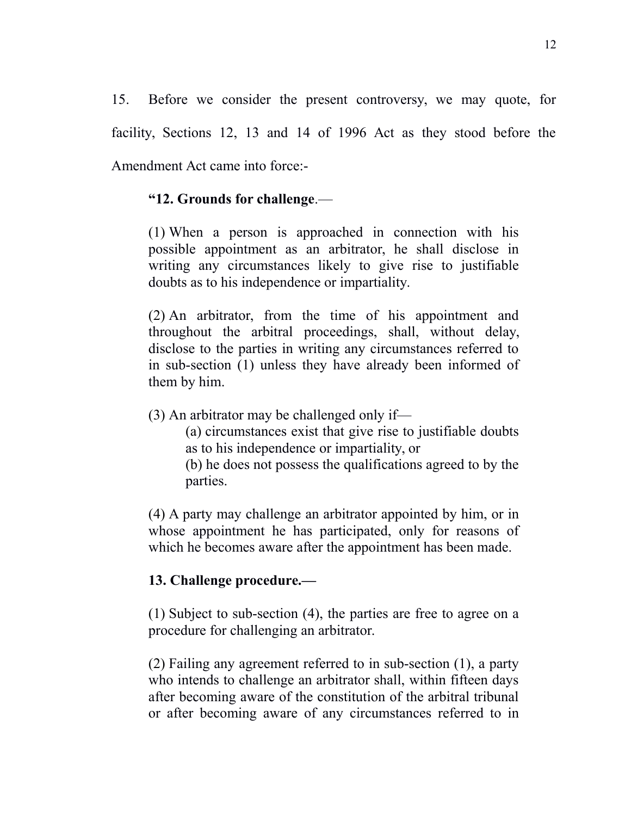15. Before we consider the present controversy, we may quote, for facility, Sections 12, 13 and 14 of 1996 Act as they stood before the Amendment Act came into force:-

### **"12. Grounds for challenge**.—

[\(1\)](https://indiankanoon.org/doc/514557/) When a person is approached in connection with his possible appointment as an arbitrator, he shall disclose in writing any circumstances likely to give rise to justifiable doubts as to his independence or impartiality.

[\(2\)](https://indiankanoon.org/doc/1838594/) An arbitrator, from the time of his appointment and throughout the arbitral proceedings, shall, without delay, disclose to the parties in writing any circumstances referred to in sub-section (1) unless they have already been informed of them by him.

[\(3\)](https://indiankanoon.org/doc/1983758/) An arbitrator may be challenged only if—

[\(a\)](https://indiankanoon.org/doc/666434/) circumstances exist that give rise to justifiable doubts as to his independence or impartiality, or

[\(b\)](https://indiankanoon.org/doc/1011825/) he does not possess the qualifications agreed to by the parties.

[\(4\)](https://indiankanoon.org/doc/137257/) A party may challenge an arbitrator appointed by him, or in whose appointment he has participated, only for reasons of which he becomes aware after the appointment has been made.

## **13. Challenge procedure.—**

[\(1\)](https://indiankanoon.org/doc/1347575/) Subject to sub-section (4), the parties are free to agree on a procedure for challenging an arbitrator.

[\(2\)](https://indiankanoon.org/doc/163714/) Failing any agreement referred to in sub-section (1), a party who intends to challenge an arbitrator shall, within fifteen days after becoming aware of the constitution of the arbitral tribunal or after becoming aware of any circumstances referred to in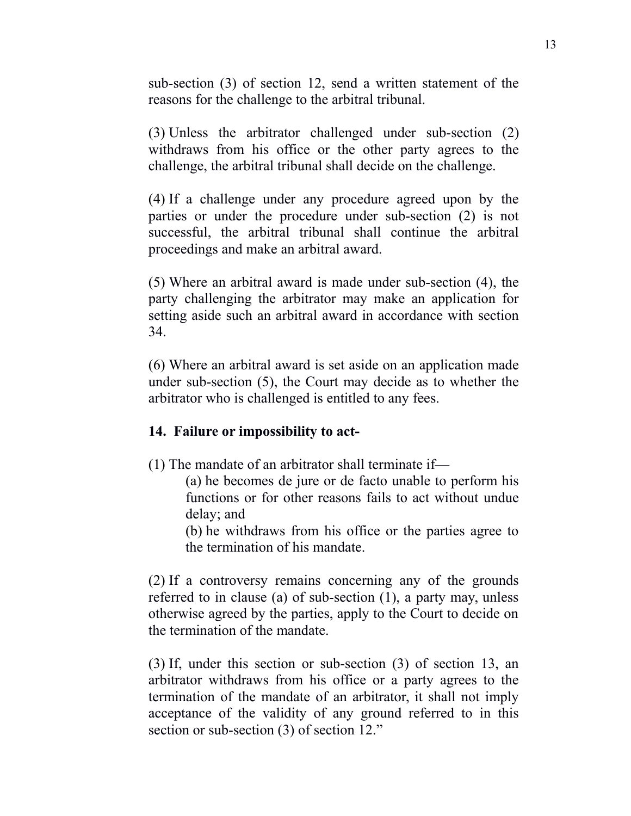sub-section (3) of section 12, send a written statement of the reasons for the challenge to the arbitral tribunal.

[\(3\)](https://indiankanoon.org/doc/1844539/) Unless the arbitrator challenged under sub-section (2) withdraws from his office or the other party agrees to the challenge, the arbitral tribunal shall decide on the challenge.

[\(4\)](https://indiankanoon.org/doc/46768/) If a challenge under any procedure agreed upon by the parties or under the procedure under sub-section (2) is not successful, the arbitral tribunal shall continue the arbitral proceedings and make an arbitral award.

[\(5\)](https://indiankanoon.org/doc/1170374/) Where an arbitral award is made under sub-section (4), the party challenging the arbitrator may make an application for setting aside such an arbitral award in accordance with section 34.

[\(6\)](https://indiankanoon.org/doc/1253821/) Where an arbitral award is set aside on an application made under sub-section (5), the Court may decide as to whether the arbitrator who is challenged is entitled to any fees.

### **14. Failure or impossibility to act-**

[\(1\)](https://indiankanoon.org/doc/227489/) The mandate of an arbitrator shall terminate if—

[\(a\)](https://indiankanoon.org/doc/1104436/) he becomes de jure or de facto unable to perform his functions or for other reasons fails to act without undue delay; and

[\(b\)](https://indiankanoon.org/doc/1779087/) he withdraws from his office or the parties agree to the termination of his mandate.

[\(2\)](https://indiankanoon.org/doc/409037/) If a controversy remains concerning any of the grounds referred to in clause (a) of sub-section (1), a party may, unless otherwise agreed by the parties, apply to the Court to decide on the termination of the mandate.

[\(3\)](https://indiankanoon.org/doc/711131/) If, under this section or sub-section (3) of section 13, an arbitrator withdraws from his office or a party agrees to the termination of the mandate of an arbitrator, it shall not imply acceptance of the validity of any ground referred to in this section or sub-section (3) of section 12."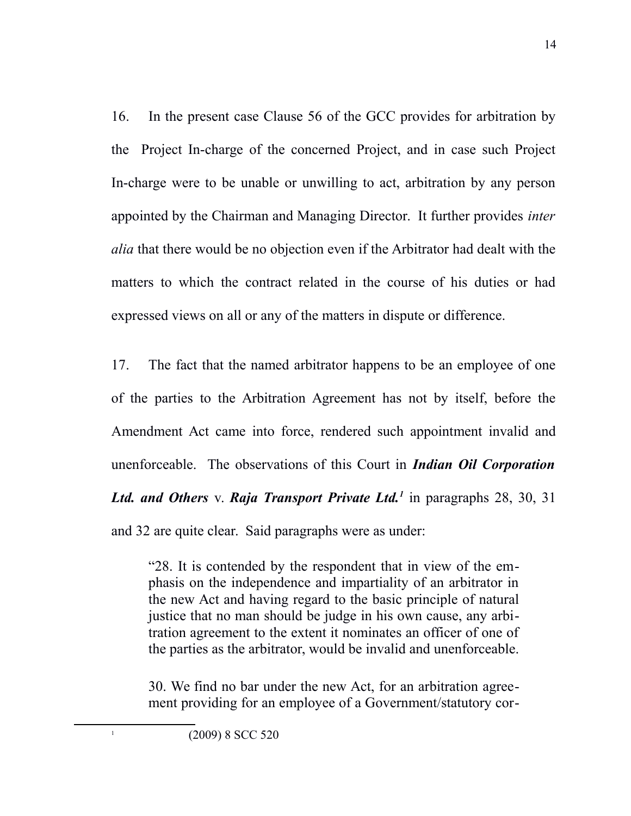16. In the present case Clause 56 of the GCC provides for arbitration by the Project In-charge of the concerned Project, and in case such Project In-charge were to be unable or unwilling to act, arbitration by any person appointed by the Chairman and Managing Director. It further provides *inter alia* that there would be no objection even if the Arbitrator had dealt with the matters to which the contract related in the course of his duties or had expressed views on all or any of the matters in dispute or difference.

17. The fact that the named arbitrator happens to be an employee of one of the parties to the Arbitration Agreement has not by itself, before the Amendment Act came into force, rendered such appointment invalid and unenforceable. The observations of this Court in *Indian Oil Corporation Ltd. and Others* v. *Raja Transport Private Ltd.[1](#page-13-0)* in paragraphs 28, 30, 31 and 32 are quite clear. Said paragraphs were as under:

"28. It is contended by the respondent that in view of the emphasis on the independence and impartiality of an arbitrator in the new Act and having regard to the basic principle of natural justice that no man should be judge in his own cause, any arbitration agreement to the extent it nominates an officer of one of the parties as the arbitrator, would be invalid and unenforceable.

30. We find no bar under the new Act, for an arbitration agreement providing for an employee of a Government/statutory cor-

<span id="page-13-0"></span>1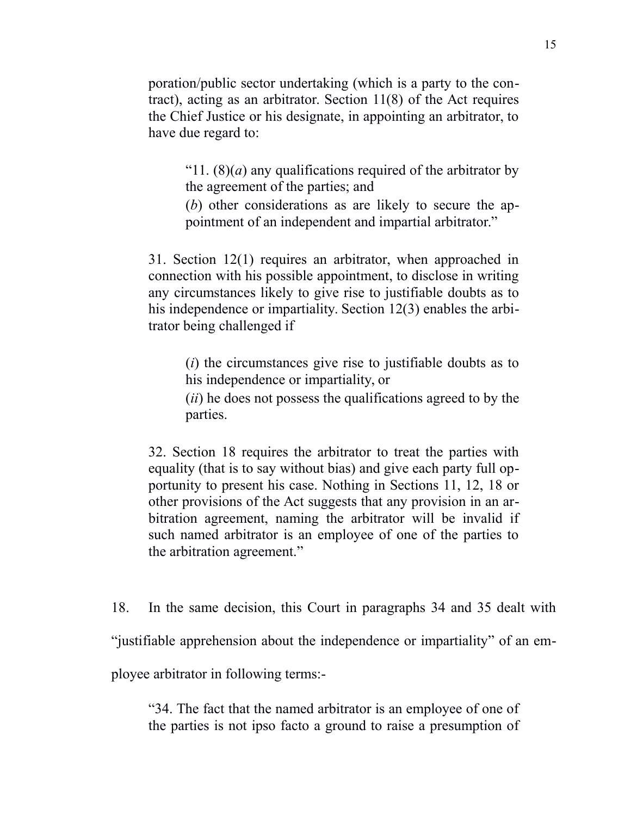poration/public sector undertaking (which is a party to the contract), acting as an arbitrator. Section 11(8) of the Act requires the Chief Justice or his designate, in appointing an arbitrator, to have due regard to:

"11.  $(8)(a)$  any qualifications required of the arbitrator by the agreement of the parties; and

(*b*) other considerations as are likely to secure the appointment of an independent and impartial arbitrator."

31. Section 12(1) requires an arbitrator, when approached in connection with his possible appointment, to disclose in writing any circumstances likely to give rise to justifiable doubts as to his independence or impartiality. Section 12(3) enables the arbitrator being challenged if

(*i*) the circumstances give rise to justifiable doubts as to his independence or impartiality, or

(*ii*) he does not possess the qualifications agreed to by the parties.

32. Section 18 requires the arbitrator to treat the parties with equality (that is to say without bias) and give each party full opportunity to present his case. Nothing in Sections 11, 12, 18 or other provisions of the Act suggests that any provision in an arbitration agreement, naming the arbitrator will be invalid if such named arbitrator is an employee of one of the parties to the arbitration agreement."

18. In the same decision, this Court in paragraphs 34 and 35 dealt with

"justifiable apprehension about the independence or impartiality" of an em-

ployee arbitrator in following terms:-

"34. The fact that the named arbitrator is an employee of one of the parties is not ipso facto a ground to raise a presumption of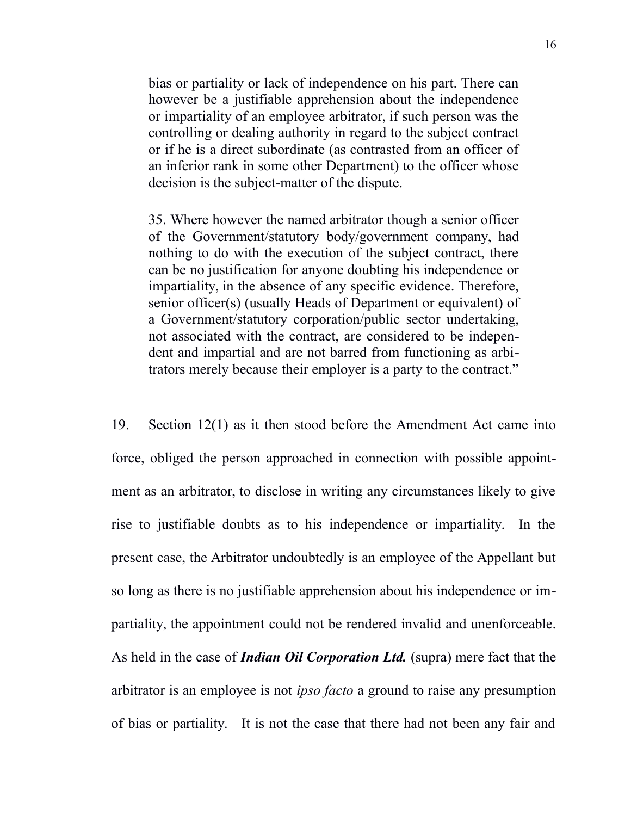bias or partiality or lack of independence on his part. There can however be a justifiable apprehension about the independence or impartiality of an employee arbitrator, if such person was the controlling or dealing authority in regard to the subject contract or if he is a direct subordinate (as contrasted from an officer of an inferior rank in some other Department) to the officer whose decision is the subject-matter of the dispute.

35. Where however the named arbitrator though a senior officer of the Government/statutory body/government company, had nothing to do with the execution of the subject contract, there can be no justification for anyone doubting his independence or impartiality, in the absence of any specific evidence. Therefore, senior officer(s) (usually Heads of Department or equivalent) of a Government/statutory corporation/public sector undertaking, not associated with the contract, are considered to be independent and impartial and are not barred from functioning as arbitrators merely because their employer is a party to the contract."

19. Section 12(1) as it then stood before the Amendment Act came into force, obliged the person approached in connection with possible appointment as an arbitrator, to disclose in writing any circumstances likely to give rise to justifiable doubts as to his independence or impartiality. In the present case, the Arbitrator undoubtedly is an employee of the Appellant but so long as there is no justifiable apprehension about his independence or impartiality, the appointment could not be rendered invalid and unenforceable. As held in the case of *Indian Oil Corporation Ltd.* (supra) mere fact that the arbitrator is an employee is not *ipso facto* a ground to raise any presumption of bias or partiality. It is not the case that there had not been any fair and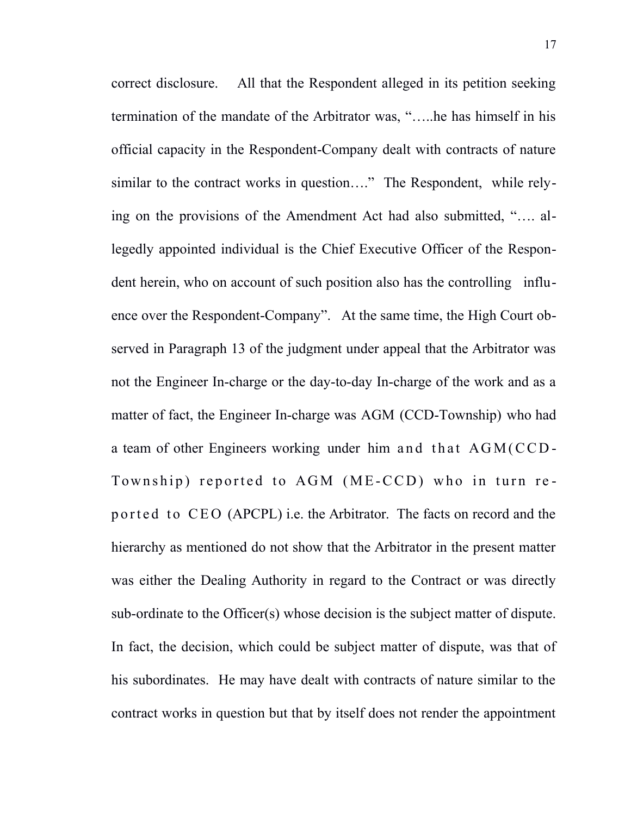correct disclosure. All that the Respondent alleged in its petition seeking termination of the mandate of the Arbitrator was, "…..he has himself in his official capacity in the Respondent-Company dealt with contracts of nature similar to the contract works in question…." The Respondent, while relying on the provisions of the Amendment Act had also submitted, "…. allegedly appointed individual is the Chief Executive Officer of the Respondent herein, who on account of such position also has the controlling influence over the Respondent-Company". At the same time, the High Court observed in Paragraph 13 of the judgment under appeal that the Arbitrator was not the Engineer In-charge or the day-to-day In-charge of the work and as a matter of fact, the Engineer In-charge was AGM (CCD-Township) who had a team of other Engineers working under him and that  $AGM$  ( $CCD$ ) Township) reported to AGM (ME-CCD) who in turn rep o r t e d t o CEO (APCPL) i.e. the Arbitrator. The facts on record and the hierarchy as mentioned do not show that the Arbitrator in the present matter was either the Dealing Authority in regard to the Contract or was directly sub-ordinate to the Officer(s) whose decision is the subject matter of dispute. In fact, the decision, which could be subject matter of dispute, was that of his subordinates. He may have dealt with contracts of nature similar to the contract works in question but that by itself does not render the appointment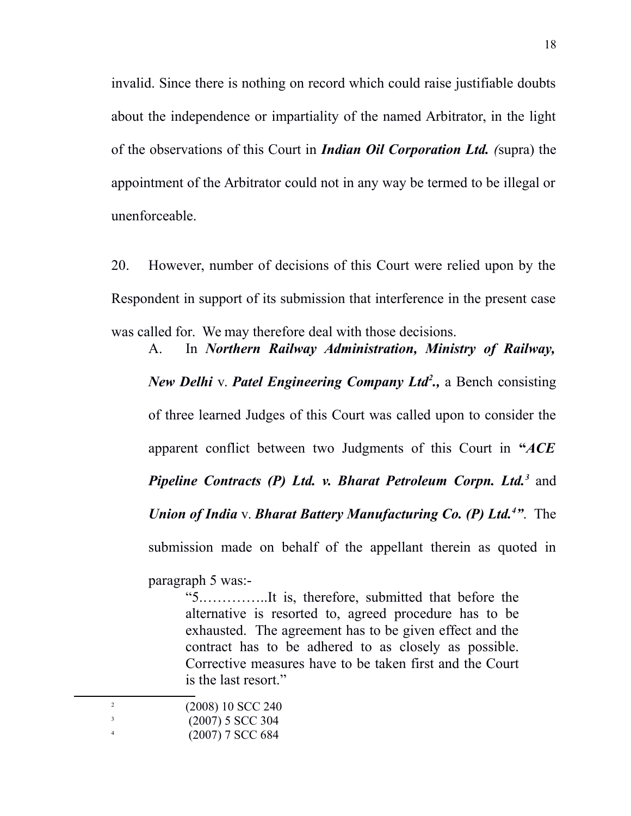invalid. Since there is nothing on record which could raise justifiable doubts about the independence or impartiality of the named Arbitrator, in the light of the observations of this Court in *Indian Oil Corporation Ltd. (*supra) the appointment of the Arbitrator could not in any way be termed to be illegal or unenforceable.

20. However, number of decisions of this Court were relied upon by the Respondent in support of its submission that interference in the present case was called for. We may therefore deal with those decisions.

A. In *Northern Railway Administration, Ministry of Railway, New Delhi* v. *Patel Engineering Company Ltd[2](#page-17-0) .,* a Bench consisting of three learned Judges of this Court was called upon to consider the apparent conflict between two Judgments of this Court in **"***ACE* Pipeline Contracts (P) Ltd. v. Bharat Petroleum Corpn. Ltd.<sup>[3](#page-17-1)</sup> and *Union of India* v. *Bharat Battery Manufacturing Co. (P) Ltd.[4](#page-17-2) "*. The submission made on behalf of the appellant therein as quoted in

paragraph 5 was:-

"5.…………..It is, therefore, submitted that before the alternative is resorted to, agreed procedure has to be exhausted. The agreement has to be given effect and the contract has to be adhered to as closely as possible. Corrective measures have to be taken first and the Court is the last resort."

<span id="page-17-2"></span><span id="page-17-1"></span><span id="page-17-0"></span>

| $(2008) 10$ SCC 240 |
|---------------------|
| $(2007)$ 5 SCC 304  |
| $(2007)$ 7 SCC 684  |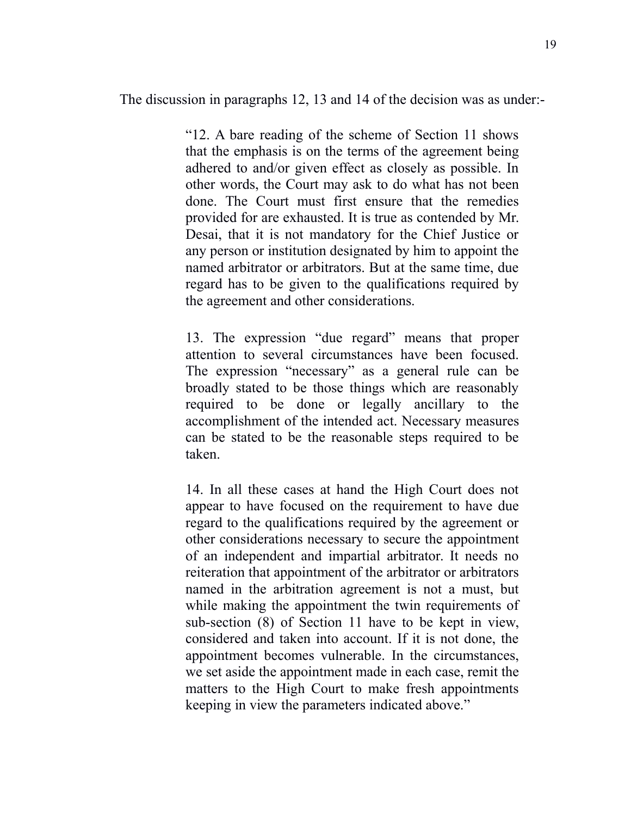The discussion in paragraphs 12, 13 and 14 of the decision was as under:-

"12. A bare reading of the scheme of Section 11 shows that the emphasis is on the terms of the agreement being adhered to and/or given effect as closely as possible. In other words, the Court may ask to do what has not been done. The Court must first ensure that the remedies provided for are exhausted. It is true as contended by Mr. Desai, that it is not mandatory for the Chief Justice or any person or institution designated by him to appoint the named arbitrator or arbitrators. But at the same time, due regard has to be given to the qualifications required by the agreement and other considerations.

13. The expression "due regard" means that proper attention to several circumstances have been focused. The expression "necessary" as a general rule can be broadly stated to be those things which are reasonably required to be done or legally ancillary to the accomplishment of the intended act. Necessary measures can be stated to be the reasonable steps required to be taken.

14. In all these cases at hand the High Court does not appear to have focused on the requirement to have due regard to the qualifications required by the agreement or other considerations necessary to secure the appointment of an independent and impartial arbitrator. It needs no reiteration that appointment of the arbitrator or arbitrators named in the arbitration agreement is not a must, but while making the appointment the twin requirements of sub-section (8) of Section 11 have to be kept in view, considered and taken into account. If it is not done, the appointment becomes vulnerable. In the circumstances, we set aside the appointment made in each case, remit the matters to the High Court to make fresh appointments keeping in view the parameters indicated above."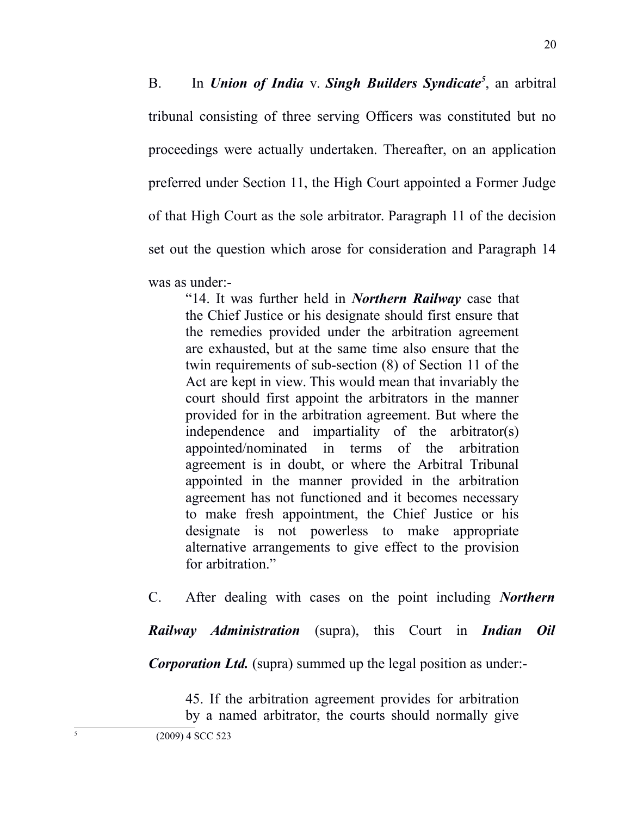B. In *Union of India* v. *Singh Builders Syndicate[5](#page-19-0)* , an arbitral tribunal consisting of three serving Officers was constituted but no proceedings were actually undertaken. Thereafter, on an application preferred under Section 11, the High Court appointed a Former Judge of that High Court as the sole arbitrator. Paragraph 11 of the decision set out the question which arose for consideration and Paragraph 14 was as under:-

"14. It was further held in *Northern Railway* case that the Chief Justice or his designate should first ensure that the remedies provided under the arbitration agreement are exhausted, but at the same time also ensure that the twin requirements of sub-section (8) of Section 11 of the Act are kept in view. This would mean that invariably the court should first appoint the arbitrators in the manner provided for in the arbitration agreement. But where the independence and impartiality of the arbitrator(s) appointed/nominated in terms of the arbitration agreement is in doubt, or where the Arbitral Tribunal appointed in the manner provided in the arbitration agreement has not functioned and it becomes necessary to make fresh appointment, the Chief Justice or his designate is not powerless to make appropriate alternative arrangements to give effect to the provision for arbitration."

C. After dealing with cases on the point including *Northern*

*Railway Administration* (supra), this Court in *Indian Oil*

*Corporation Ltd.* (supra) summed up the legal position as under:-

45. If the arbitration agreement provides for arbitration

<span id="page-19-0"></span>5

by a named arbitrator, the courts should normally give (2009) 4 SCC 523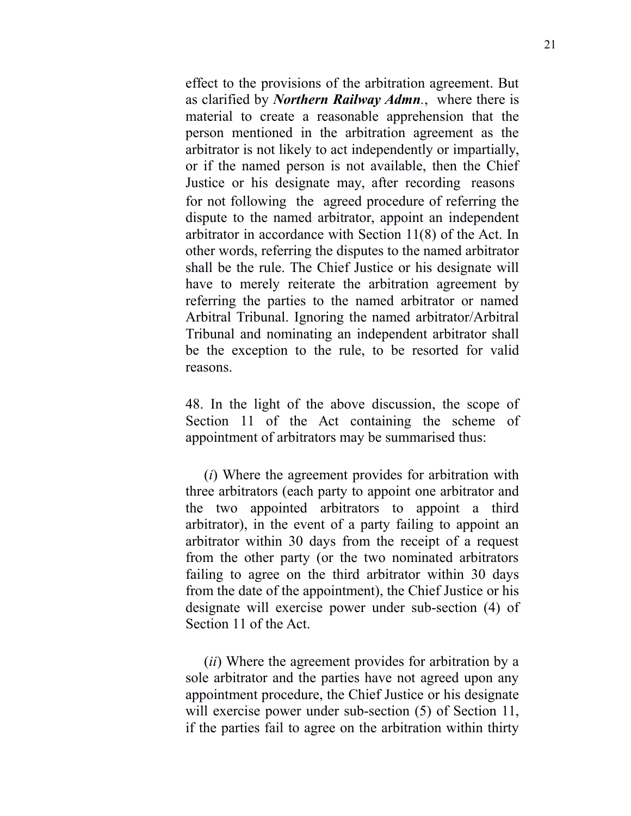effect to the provisions of the arbitration agreement. But as clarified by *Northern Railway Admn.*, where there is material to create a reasonable apprehension that the person mentioned in the arbitration agreement as the arbitrator is not likely to act independently or impartially, or if the named person is not available, then the Chief Justice or his designate may, after recording reasons for not following the agreed procedure of referring the dispute to the named arbitrator, appoint an independent arbitrator in accordance with Section 11(8) of the Act. In other words, referring the disputes to the named arbitrator shall be the rule. The Chief Justice or his designate will have to merely reiterate the arbitration agreement by referring the parties to the named arbitrator or named Arbitral Tribunal. Ignoring the named arbitrator/Arbitral Tribunal and nominating an independent arbitrator shall be the exception to the rule, to be resorted for valid reasons.

48. In the light of the above discussion, the scope of Section 11 of the Act containing the scheme of appointment of arbitrators may be summarised thus:

(*i*) Where the agreement provides for arbitration with three arbitrators (each party to appoint one arbitrator and the two appointed arbitrators to appoint a third arbitrator), in the event of a party failing to appoint an arbitrator within 30 days from the receipt of a request from the other party (or the two nominated arbitrators failing to agree on the third arbitrator within 30 days from the date of the appointment), the Chief Justice or his designate will exercise power under sub-section (4) of Section 11 of the Act.

(*ii*) Where the agreement provides for arbitration by a sole arbitrator and the parties have not agreed upon any appointment procedure, the Chief Justice or his designate will exercise power under sub-section  $(5)$  of Section 11, if the parties fail to agree on the arbitration within thirty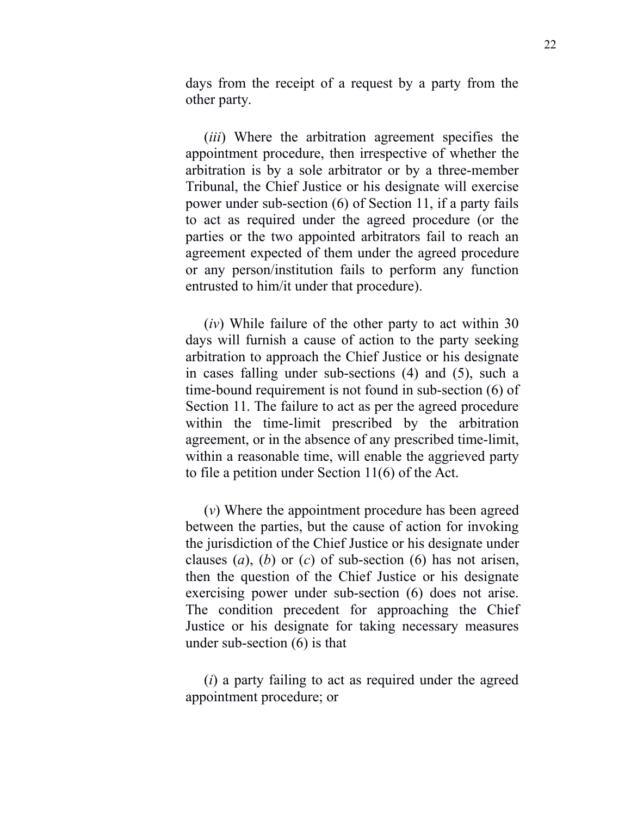days from the receipt of a request by a party from the other party.

(*iii*) Where the arbitration agreement specifies the appointment procedure, then irrespective of whether the arbitration is by a sole arbitrator or by a three-member Tribunal, the Chief Justice or his designate will exercise power under sub-section (6) of Section 11, if a party fails to act as required under the agreed procedure (or the parties or the two appointed arbitrators fail to reach an agreement expected of them under the agreed procedure or any person/institution fails to perform any function entrusted to him/it under that procedure).

(*iv*) While failure of the other party to act within 30 days will furnish a cause of action to the party seeking arbitration to approach the Chief Justice or his designate in cases falling under sub-sections (4) and (5), such a time-bound requirement is not found in sub-section (6) of Section 11. The failure to act as per the agreed procedure within the time-limit prescribed by the arbitration agreement, or in the absence of any prescribed time-limit, within a reasonable time, will enable the aggrieved party to file a petition under Section 11(6) of the Act.

(*v*) Where the appointment procedure has been agreed between the parties, but the cause of action for invoking the jurisdiction of the Chief Justice or his designate under clauses (*a*), (*b*) or (*c*) of sub-section (6) has not arisen, then the question of the Chief Justice or his designate exercising power under sub-section (6) does not arise. The condition precedent for approaching the Chief Justice or his designate for taking necessary measures under sub-section (6) is that

(*i*) a party failing to act as required under the agreed appointment procedure; or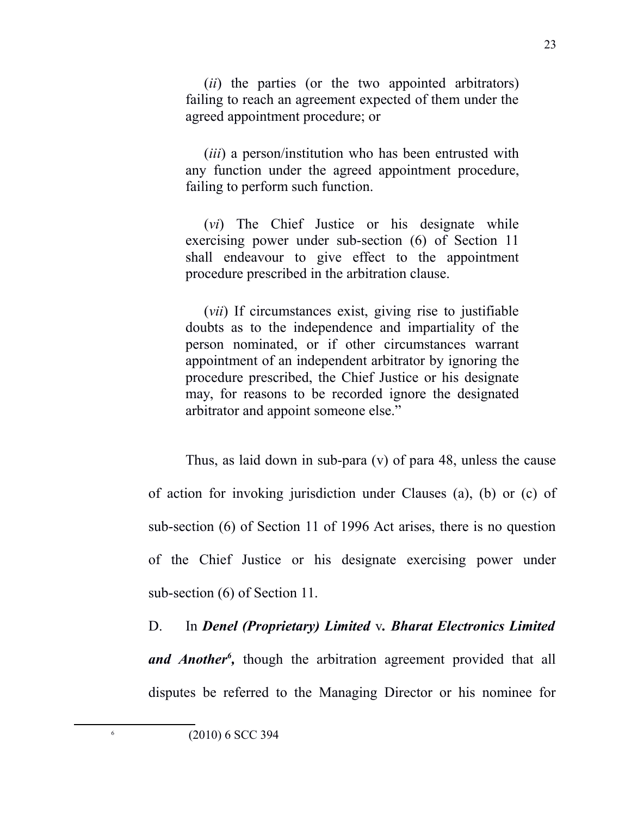(*ii*) the parties (or the two appointed arbitrators) failing to reach an agreement expected of them under the agreed appointment procedure; or

(*iii*) a person/institution who has been entrusted with any function under the agreed appointment procedure, failing to perform such function.

(*vi*) The Chief Justice or his designate while exercising power under sub-section (6) of Section 11 shall endeavour to give effect to the appointment procedure prescribed in the arbitration clause.

(*vii*) If circumstances exist, giving rise to justifiable doubts as to the independence and impartiality of the person nominated, or if other circumstances warrant appointment of an independent arbitrator by ignoring the procedure prescribed, the Chief Justice or his designate may, for reasons to be recorded ignore the designated arbitrator and appoint someone else."

Thus, as laid down in sub-para (v) of para 48, unless the cause of action for invoking jurisdiction under Clauses (a), (b) or (c) of sub-section (6) of Section 11 of 1996 Act arises, there is no question of the Chief Justice or his designate exercising power under sub-section (6) of Section 11.

D. In *Denel (Proprietary) Limited* v*. Bharat Electronics Limited* and Another<sup>[6](#page-22-0)</sup>, though the arbitration agreement provided that all disputes be referred to the Managing Director or his nominee for

<span id="page-22-0"></span>6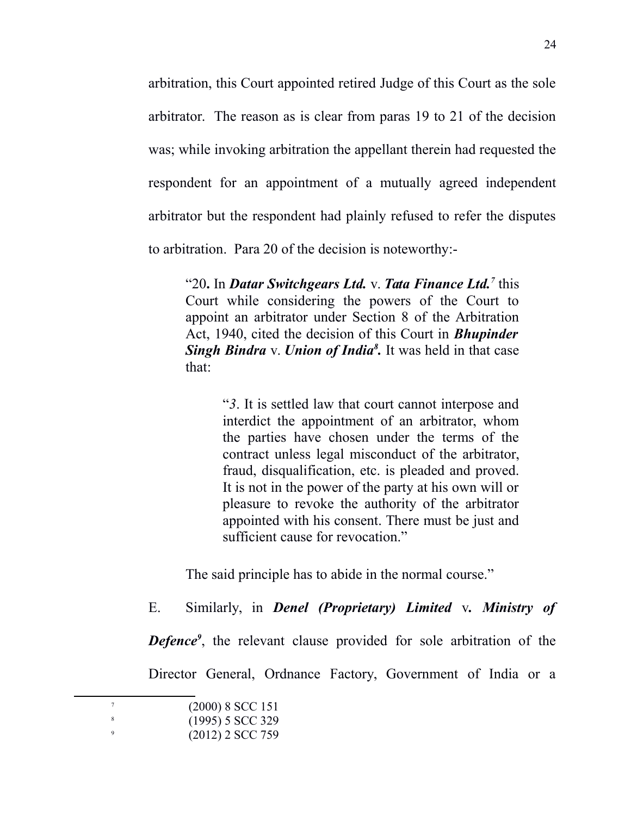arbitration, this Court appointed retired Judge of this Court as the sole arbitrator. The reason as is clear from paras 19 to 21 of the decision was; while invoking arbitration the appellant therein had requested the respondent for an appointment of a mutually agreed independent arbitrator but the respondent had plainly refused to refer the disputes to arbitration. Para 20 of the decision is noteworthy:-

"20**.** In *Datar Switchgears Ltd.* v. *Tata Finance Ltd.[7](#page-23-0)* this Court while considering the powers of the Court to appoint an arbitrator under Section 8 of the Arbitration Act, 1940, cited the decision of this Court in *Bhupinder Singh Bindra* v. *Union of India[8](#page-23-1) .* It was held in that case that:

> "*3*. It is settled law that court cannot interpose and interdict the appointment of an arbitrator, whom the parties have chosen under the terms of the contract unless legal misconduct of the arbitrator, fraud, disqualification, etc. is pleaded and proved. It is not in the power of the party at his own will or pleasure to revoke the authority of the arbitrator appointed with his consent. There must be just and sufficient cause for revocation."

The said principle has to abide in the normal course."

E. Similarly, in *Denel (Proprietary) Limited* v*. Ministry of*

**Defence<sup>[9](#page-23-2)</sup>**, the relevant clause provided for sole arbitration of the

Director General, Ordnance Factory, Government of India or a

<span id="page-23-2"></span><span id="page-23-1"></span><span id="page-23-0"></span>

| $(2000)$ 8 SCC 151 |
|--------------------|
| $(1995)$ 5 SCC 329 |
| $(2012)$ 2 SCC 759 |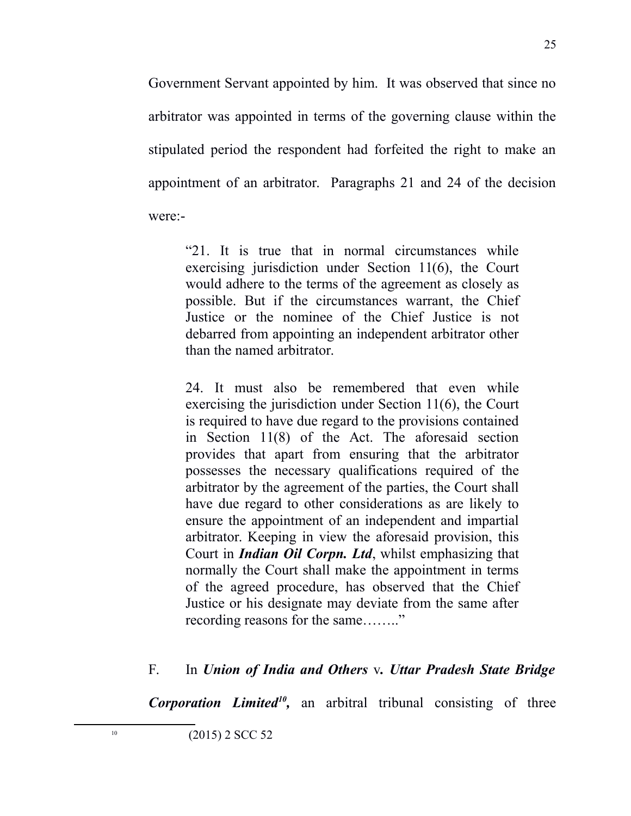Government Servant appointed by him. It was observed that since no arbitrator was appointed in terms of the governing clause within the stipulated period the respondent had forfeited the right to make an appointment of an arbitrator. Paragraphs 21 and 24 of the decision were:-

"21. It is true that in normal circumstances while exercising jurisdiction under Section 11(6), the Court would adhere to the terms of the agreement as closely as possible. But if the circumstances warrant, the Chief Justice or the nominee of the Chief Justice is not debarred from appointing an independent arbitrator other than the named arbitrator.

24. It must also be remembered that even while exercising the jurisdiction under Section 11(6), the Court is required to have due regard to the provisions contained in Section 11(8) of the Act. The aforesaid section provides that apart from ensuring that the arbitrator possesses the necessary qualifications required of the arbitrator by the agreement of the parties, the Court shall have due regard to other considerations as are likely to ensure the appointment of an independent and impartial arbitrator. Keeping in view the aforesaid provision, this Court in *Indian Oil Corpn. Ltd*, whilst emphasizing that normally the Court shall make the appointment in terms of the agreed procedure, has observed that the Chief Justice or his designate may deviate from the same after recording reasons for the same…….."

### F. In *Union of India and Others* v*. Uttar Pradesh State Bridge*

<span id="page-24-0"></span>*Corporation Limited[10](#page-24-0) ,* an arbitral tribunal consisting of three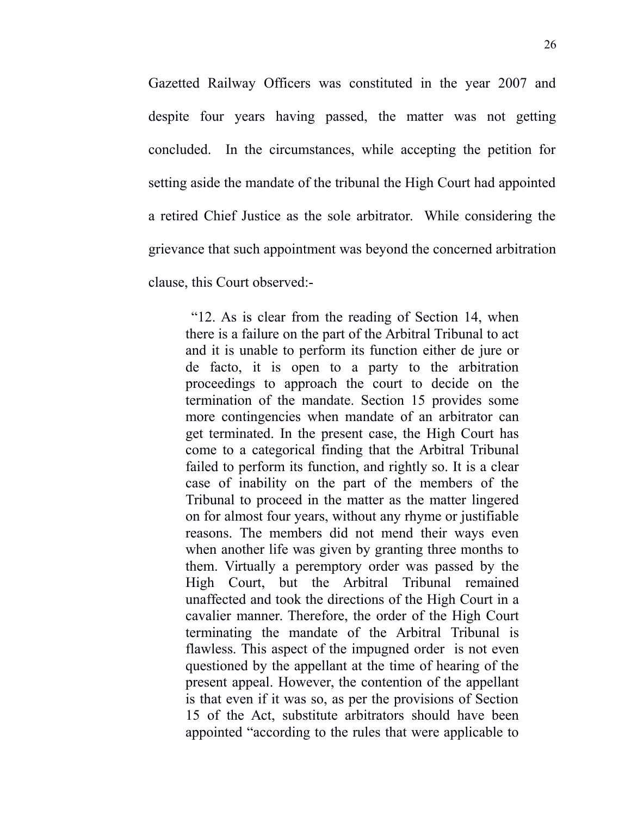Gazetted Railway Officers was constituted in the year 2007 and despite four years having passed, the matter was not getting concluded. In the circumstances, while accepting the petition for setting aside the mandate of the tribunal the High Court had appointed a retired Chief Justice as the sole arbitrator. While considering the grievance that such appointment was beyond the concerned arbitration clause, this Court observed:-

 "12. As is clear from the reading of Section 14, when there is a failure on the part of the Arbitral Tribunal to act and it is unable to perform its function either de jure or de facto, it is open to a party to the arbitration proceedings to approach the court to decide on the termination of the mandate. Section 15 provides some more contingencies when mandate of an arbitrator can get terminated. In the present case, the High Court has come to a categorical finding that the Arbitral Tribunal failed to perform its function, and rightly so. It is a clear case of inability on the part of the members of the Tribunal to proceed in the matter as the matter lingered on for almost four years, without any rhyme or justifiable reasons. The members did not mend their ways even when another life was given by granting three months to them. Virtually a peremptory order was passed by the High Court, but the Arbitral Tribunal remained unaffected and took the directions of the High Court in a cavalier manner. Therefore, the order of the High Court terminating the mandate of the Arbitral Tribunal is flawless. This aspect of the impugned order is not even questioned by the appellant at the time of hearing of the present appeal. However, the contention of the appellant is that even if it was so, as per the provisions of Section 15 of the Act, substitute arbitrators should have been appointed "according to the rules that were applicable to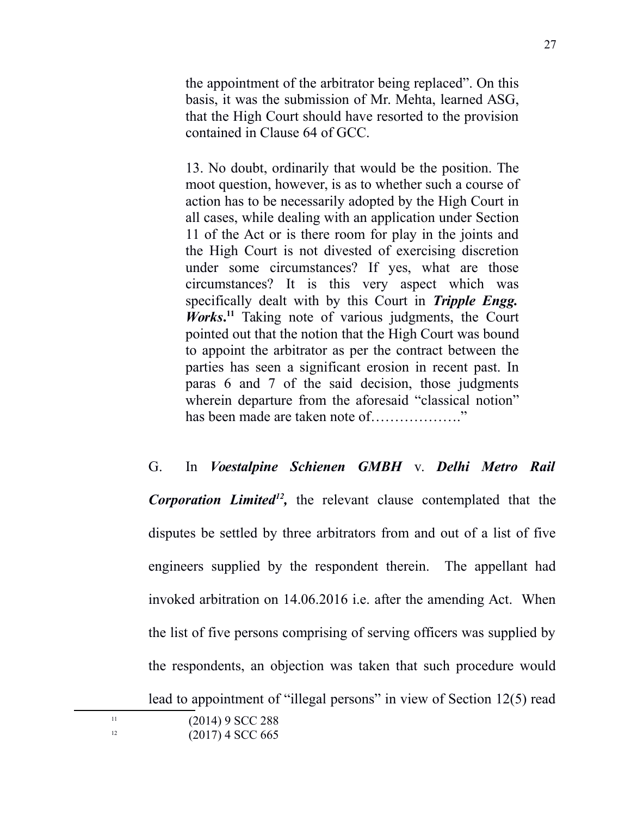the appointment of the arbitrator being replaced". On this basis, it was the submission of Mr. Mehta, learned ASG, that the High Court should have resorted to the provision contained in Clause 64 of GCC.

13. No doubt, ordinarily that would be the position. The moot question, however, is as to whether such a course of action has to be necessarily adopted by the High Court in all cases, while dealing with an application under Section 11 of the Act or is there room for play in the joints and the High Court is not divested of exercising discretion under some circumstances? If yes, what are those circumstances? It is this very aspect which was specifically dealt with by this Court in *Tripple Engg. Works***. [11](#page-26-0)** Taking note of various judgments, the Court pointed out that the notion that the High Court was bound to appoint the arbitrator as per the contract between the parties has seen a significant erosion in recent past. In paras 6 and 7 of the said decision, those judgments wherein departure from the aforesaid "classical notion" has been made are taken note of………………."

G. In *Voestalpine Schienen GMBH* v. *Delhi Metro Rail* Corporation Limited<sup>[12](#page-26-1)</sup>, the relevant clause contemplated that the disputes be settled by three arbitrators from and out of a list of five engineers supplied by the respondent therein. The appellant had invoked arbitration on 14.06.2016 i.e. after the amending Act. When the list of five persons comprising of serving officers was supplied by the respondents, an objection was taken that such procedure would lead to appointment of "illegal persons" in view of Section 12(5) read

<span id="page-26-1"></span>

<span id="page-26-0"></span> $11$  (2014) 9 SCC 288  $(2017)$  4 SCC 665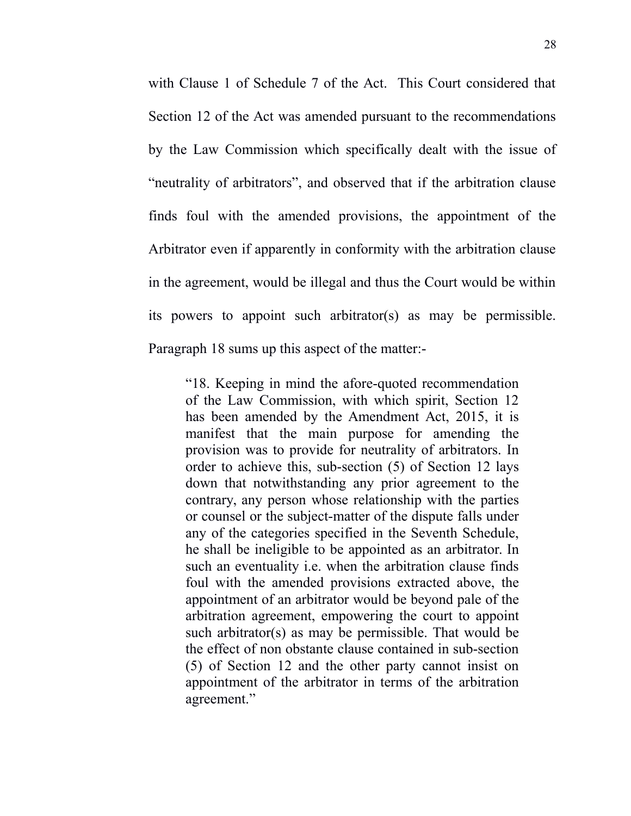with Clause 1 of Schedule 7 of the Act. This Court considered that Section 12 of the Act was amended pursuant to the recommendations by the Law Commission which specifically dealt with the issue of "neutrality of arbitrators", and observed that if the arbitration clause finds foul with the amended provisions, the appointment of the Arbitrator even if apparently in conformity with the arbitration clause in the agreement, would be illegal and thus the Court would be within its powers to appoint such arbitrator(s) as may be permissible. Paragraph 18 sums up this aspect of the matter:-

"18. Keeping in mind the afore-quoted recommendation of the Law Commission, with which spirit, Section 12 has been amended by the Amendment Act, 2015, it is manifest that the main purpose for amending the provision was to provide for neutrality of arbitrators. In order to achieve this, sub-section (5) of Section 12 lays down that notwithstanding any prior agreement to the contrary, any person whose relationship with the parties or counsel or the subject-matter of the dispute falls under any of the categories specified in the Seventh Schedule, he shall be ineligible to be appointed as an arbitrator. In such an eventuality i.e. when the arbitration clause finds foul with the amended provisions extracted above, the appointment of an arbitrator would be beyond pale of the arbitration agreement, empowering the court to appoint such arbitrator(s) as may be permissible. That would be the effect of non obstante clause contained in sub-section (5) of Section 12 and the other party cannot insist on appointment of the arbitrator in terms of the arbitration agreement."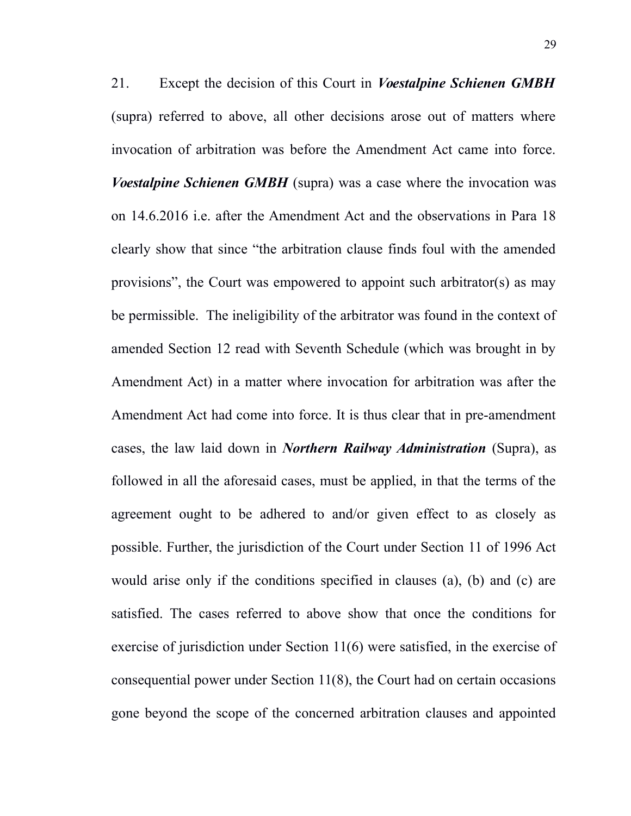21. Except the decision of this Court in *Voestalpine Schienen GMBH* (supra) referred to above, all other decisions arose out of matters where invocation of arbitration was before the Amendment Act came into force. *Voestalpine Schienen GMBH* (supra) was a case where the invocation was on 14.6.2016 i.e. after the Amendment Act and the observations in Para 18 clearly show that since "the arbitration clause finds foul with the amended provisions", the Court was empowered to appoint such arbitrator(s) as may be permissible. The ineligibility of the arbitrator was found in the context of amended Section 12 read with Seventh Schedule (which was brought in by Amendment Act) in a matter where invocation for arbitration was after the Amendment Act had come into force. It is thus clear that in pre-amendment cases, the law laid down in *Northern Railway Administration* (Supra), as followed in all the aforesaid cases, must be applied, in that the terms of the agreement ought to be adhered to and/or given effect to as closely as possible. Further, the jurisdiction of the Court under Section 11 of 1996 Act would arise only if the conditions specified in clauses (a), (b) and (c) are satisfied. The cases referred to above show that once the conditions for exercise of jurisdiction under Section 11(6) were satisfied, in the exercise of consequential power under Section 11(8), the Court had on certain occasions gone beyond the scope of the concerned arbitration clauses and appointed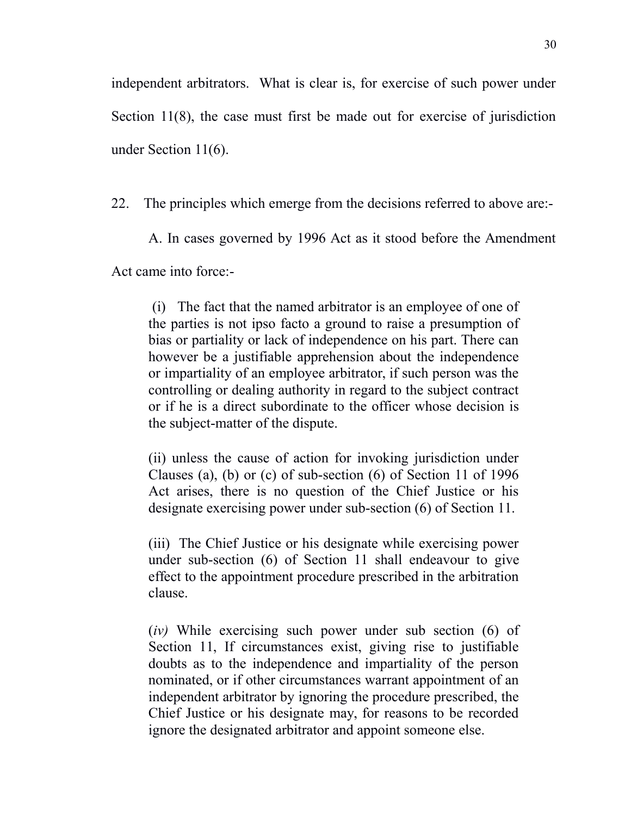independent arbitrators. What is clear is, for exercise of such power under Section 11(8), the case must first be made out for exercise of jurisdiction under Section 11(6).

22. The principles which emerge from the decisions referred to above are:-

A. In cases governed by 1996 Act as it stood before the Amendment

Act came into force:-

 (i) The fact that the named arbitrator is an employee of one of the parties is not ipso facto a ground to raise a presumption of bias or partiality or lack of independence on his part. There can however be a justifiable apprehension about the independence or impartiality of an employee arbitrator, if such person was the controlling or dealing authority in regard to the subject contract or if he is a direct subordinate to the officer whose decision is the subject-matter of the dispute.

(ii) unless the cause of action for invoking jurisdiction under Clauses (a), (b) or (c) of sub-section (6) of Section 11 of 1996 Act arises, there is no question of the Chief Justice or his designate exercising power under sub-section (6) of Section 11.

(iii) The Chief Justice or his designate while exercising power under sub-section (6) of Section 11 shall endeavour to give effect to the appointment procedure prescribed in the arbitration clause.

(*iv)* While exercising such power under sub section (6) of Section 11, If circumstances exist, giving rise to justifiable doubts as to the independence and impartiality of the person nominated, or if other circumstances warrant appointment of an independent arbitrator by ignoring the procedure prescribed, the Chief Justice or his designate may, for reasons to be recorded ignore the designated arbitrator and appoint someone else.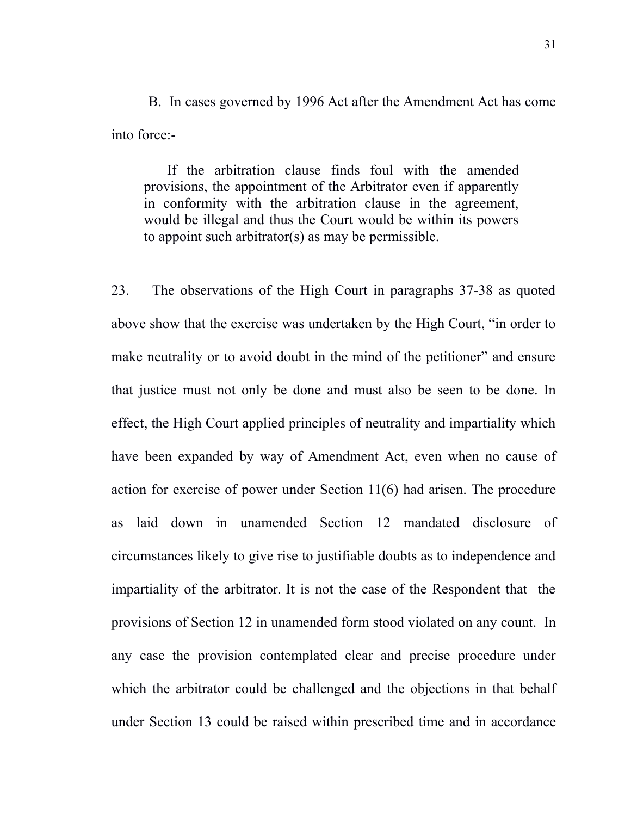B. In cases governed by 1996 Act after the Amendment Act has come into force:-

If the arbitration clause finds foul with the amended provisions, the appointment of the Arbitrator even if apparently in conformity with the arbitration clause in the agreement, would be illegal and thus the Court would be within its powers to appoint such arbitrator(s) as may be permissible.

23. The observations of the High Court in paragraphs 37-38 as quoted above show that the exercise was undertaken by the High Court, "in order to make neutrality or to avoid doubt in the mind of the petitioner" and ensure that justice must not only be done and must also be seen to be done. In effect, the High Court applied principles of neutrality and impartiality which have been expanded by way of Amendment Act, even when no cause of action for exercise of power under Section 11(6) had arisen. The procedure as laid down in unamended Section 12 mandated disclosure of circumstances likely to give rise to justifiable doubts as to independence and impartiality of the arbitrator. It is not the case of the Respondent that the provisions of Section 12 in unamended form stood violated on any count. In any case the provision contemplated clear and precise procedure under which the arbitrator could be challenged and the objections in that behalf under Section 13 could be raised within prescribed time and in accordance